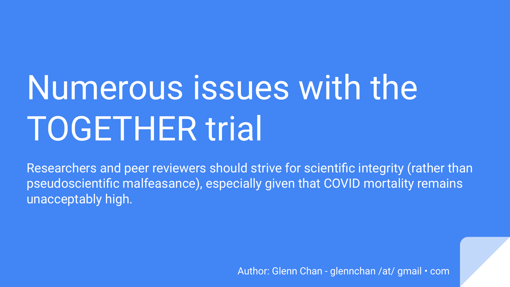# Numerous issues with the TOGETHER trial

Researchers and peer reviewers should strive for scientific integrity (rather than pseudoscientific malfeasance), especially given that COVID mortality remains unacceptably high.

Author: Glenn Chan - glennchan /at/ gmail • com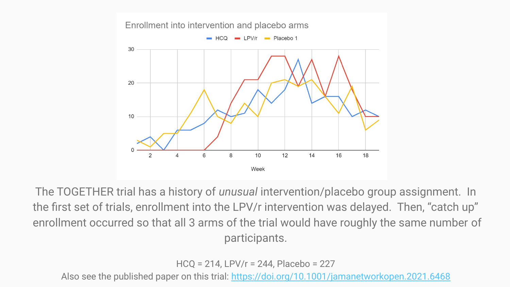

The TOGETHER trial has a history of *unusual* intervention/placebo group assignment. In the first set of trials, enrollment into the LPV/r intervention was delayed. Then, "catch up" enrollment occurred so that all 3 arms of the trial would have roughly the same number of participants.

HCQ = 214, LPV/r = 244, Placebo = 227

Also see the published paper on this trial: <https://doi.org/10.1001/jamanetworkopen.2021.6468>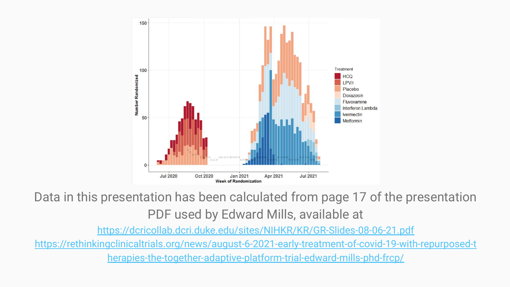

Data in this presentation has been calculated from page 17 of the presentation PDF used by Edward Mills, available at

<https://dcricollab.dcri.duke.edu/sites/NIHKR/KR/GR-Slides-08-06-21.pdf> [https://rethinkingclinicaltrials.org/news/august-6-2021-early-treatment-of-covid-19-with-repurposed-t](https://rethinkingclinicaltrials.org/news/august-6-2021-early-treatment-of-covid-19-with-repurposed-therapies-the-together-adaptive-platform-trial-edward-mills-phd-frcp/) [herapies-the-together-adaptive-platform-trial-edward-mills-phd-frcp/](https://rethinkingclinicaltrials.org/news/august-6-2021-early-treatment-of-covid-19-with-repurposed-therapies-the-together-adaptive-platform-trial-edward-mills-phd-frcp/)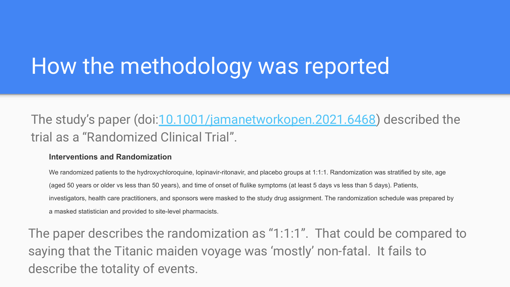# How the methodology was reported

### The study's paper (doi: 10.1001/jamanetworkopen. 2021.6468) described the trial as a "Randomized Clinical Trial".

### **Interventions and Randomization**

We randomized patients to the hydroxychloroquine, lopinavir-ritonavir, and placebo groups at 1:1:1. Randomization was stratified by site, age (aged 50 years or older vs less than 50 years), and time of onset of flulike symptoms (at least 5 days vs less than 5 days). Patients, investigators, health care practitioners, and sponsors were masked to the study drug assignment. The randomization schedule was prepared by a masked statistician and provided to site-level pharmacists.

The paper describes the randomization as "1:1:1". That could be compared to saying that the Titanic maiden voyage was 'mostly' non-fatal. It fails to describe the totality of events.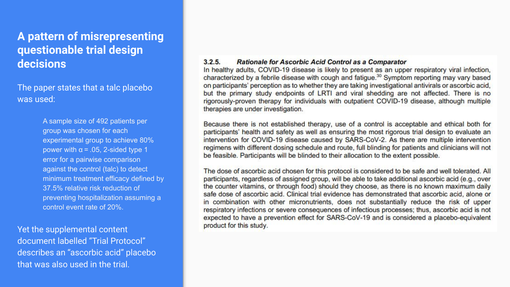### **A pattern of misrepresenting questionable trial design decisions**

The paper states that a talc placebo was used:

> A sample size of 492 patients per group was chosen for each experimental group to achieve 80% power with  $α = .05$ , 2-sided type 1 error for a pairwise comparison against the control (talc) to detect minimum treatment efficacy defined by 37.5% relative risk reduction of preventing hospitalization assuming a control event rate of 20%.

Yet the supplemental content document labelled "Trial Protocol" describes an "ascorbic acid" placebo that was also used in the trial.

### $3.2.5.$ **Rationale for Ascorbic Acid Control as a Comparator**

In healthy adults, COVID-19 disease is likely to present as an upper respiratory viral infection. characterized by a febrile disease with cough and fatigue.<sup>30</sup> Symptom reporting may vary based on participants' perception as to whether they are taking investigational antivirals or ascorbic acid, but the primary study endpoints of LRTI and viral shedding are not affected. There is no rigorously-proven therapy for individuals with outpatient COVID-19 disease, although multiple therapies are under investigation.

Because there is not established therapy, use of a control is acceptable and ethical both for participants' health and safety as well as ensuring the most rigorous trial design to evaluate an intervention for COVID-19 disease caused by SARS-CoV-2. As there are multiple intervention regimens with different dosing schedule and route, full blinding for patients and clinicians will not be feasible. Participants will be blinded to their allocation to the extent possible.

The dose of ascorbic acid chosen for this protocol is considered to be safe and well tolerated. All participants, regardless of assigned group, will be able to take additional ascorbic acid (e.g., over the counter vitamins, or through food) should they choose, as there is no known maximum daily safe dose of ascorbic acid. Clinical trial evidence has demonstrated that ascorbic acid, alone or in combination with other micronutrients, does not substantially reduce the risk of upper respiratory infections or severe consequences of infectious processes; thus, ascorbic acid is not expected to have a prevention effect for SARS-CoV-19 and is considered a placebo-equivalent product for this study.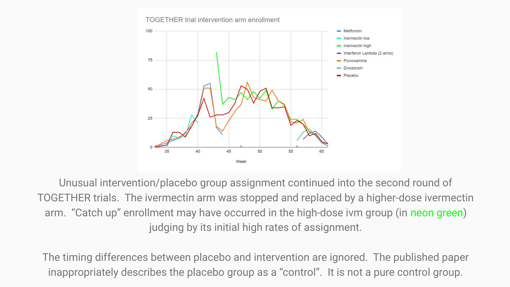

Unusual intervention/placebo group assignment continued into the second round of TOGETHER trials. The ivermectin arm was stopped and replaced by a higher-dose ivermectin arm. "Catch up" enrollment may have occurred in the high-dose ivm group (in neon green) judging by its initial high rates of assignment.

The timing differences between placebo and intervention are ignored. The published paper inappropriately describes the placebo group as a "control". It is not a pure control group.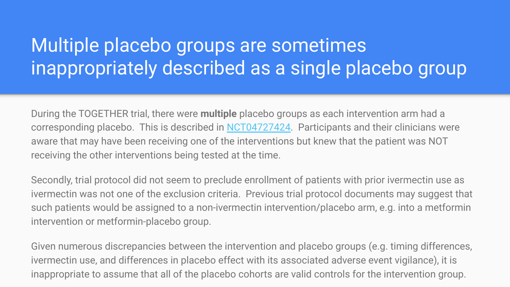### Multiple placebo groups are sometimes inappropriately described as a single placebo group

During the TOGETHER trial, there were **multiple** placebo groups as each intervention arm had a corresponding placebo. This is described in [NCT04727424](https://clinicaltrials.gov/ct2/show/NCT04727424). Participants and their clinicians were aware that may have been receiving one of the interventions but knew that the patient was NOT receiving the other interventions being tested at the time.

Secondly, trial protocol did not seem to preclude enrollment of patients with prior ivermectin use as ivermectin was not one of the exclusion criteria. Previous trial protocol documents may suggest that such patients would be assigned to a non-ivermectin intervention/placebo arm, e.g. into a metformin intervention or metformin-placebo group.

Given numerous discrepancies between the intervention and placebo groups (e.g. timing differences, ivermectin use, and differences in placebo effect with its associated adverse event vigilance), it is inappropriate to assume that all of the placebo cohorts are valid controls for the intervention group.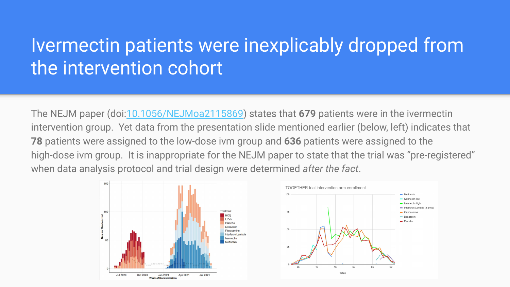### Ivermectin patients were inexplicably dropped from the intervention cohort

The NEJM paper (doi:[10.1056/NEJMoa2115869\)](https://doi.org/10.1056/NEJMoa2115869) states that **679** patients were in the ivermectin intervention group. Yet data from the presentation slide mentioned earlier (below, left) indicates that **78** patients were assigned to the low-dose ivm group and **636** patients were assigned to the high-dose ivm group. It is inappropriate for the NEJM paper to state that the trial was "pre-registered" when data analysis protocol and trial design were determined *after the fact*.



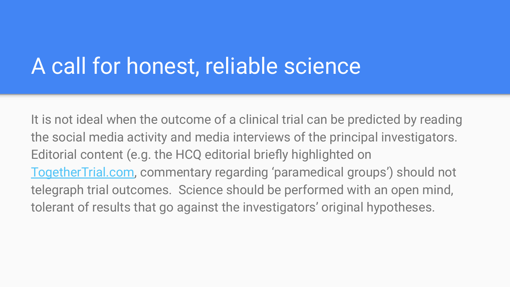## A call for honest, reliable science

It is not ideal when the outcome of a clinical trial can be predicted by reading the social media activity and media interviews of the principal investigators. Editorial content (e.g. the HCQ editorial briefly highlighted on [TogetherTrial.com,](https://www.togethertrial.com/) commentary regarding 'paramedical groups') should not telegraph trial outcomes. Science should be performed with an open mind, tolerant of results that go against the investigators' original hypotheses.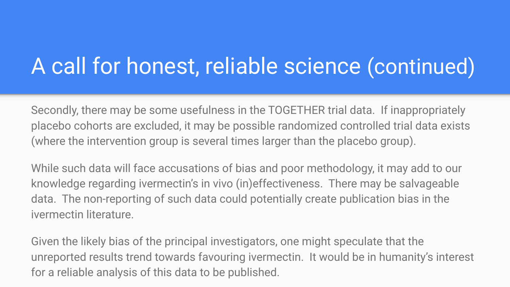# A call for honest, reliable science (continued)

Secondly, there may be some usefulness in the TOGETHER trial data. If inappropriately placebo cohorts are excluded, it may be possible randomized controlled trial data exists (where the intervention group is several times larger than the placebo group).

While such data will face accusations of bias and poor methodology, it may add to our knowledge regarding ivermectin's in vivo (in)effectiveness. There may be salvageable data. The non-reporting of such data could potentially create publication bias in the ivermectin literature.

Given the likely bias of the principal investigators, one might speculate that the unreported results trend towards favouring ivermectin. It would be in humanity's interest for a reliable analysis of this data to be published.